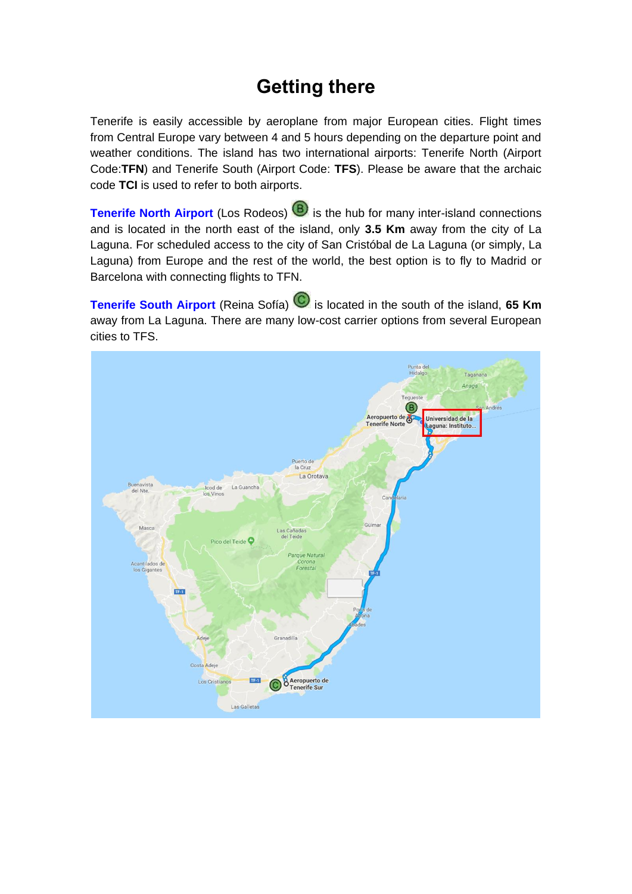## **Getting there**

Tenerife is easily accessible by aeroplane from major European cities. Flight times from Central Europe vary between 4 and 5 hours depending on the departure point and weather conditions. The island has two international airports: Tenerife North (Airport Code:**TFN**) and Tenerife South (Airport Code: **TFS**). Please be aware that the archaic code **TCI** is used to refer to both airports.

**[Tenerife North Airport](http://www.aena-aeropuertos.es/csee/Satellite/Aeropuerto-Tenerife-Norte/en/)** (Los Rodeos) **(B)** is the hub for many inter-island connections and is located in the north east of the island, only **3.5 Km** away from the city of La Laguna. For scheduled access to the city of San Cristóbal de La Laguna (or simply, La Laguna) from Europe and the rest of the world, the best option is to fly to Madrid or Barcelona with connecting flights to TFN.

**[Tenerife South Airport](http://www.aena-aeropuertos.es/csee/Satellite/Aeropuerto-Tenerife-Sur/en/)** (Reina Sofía) is located in the south of the island, 65 Km away from La Laguna. There are many low-cost carrier options from several European cities to TFS.

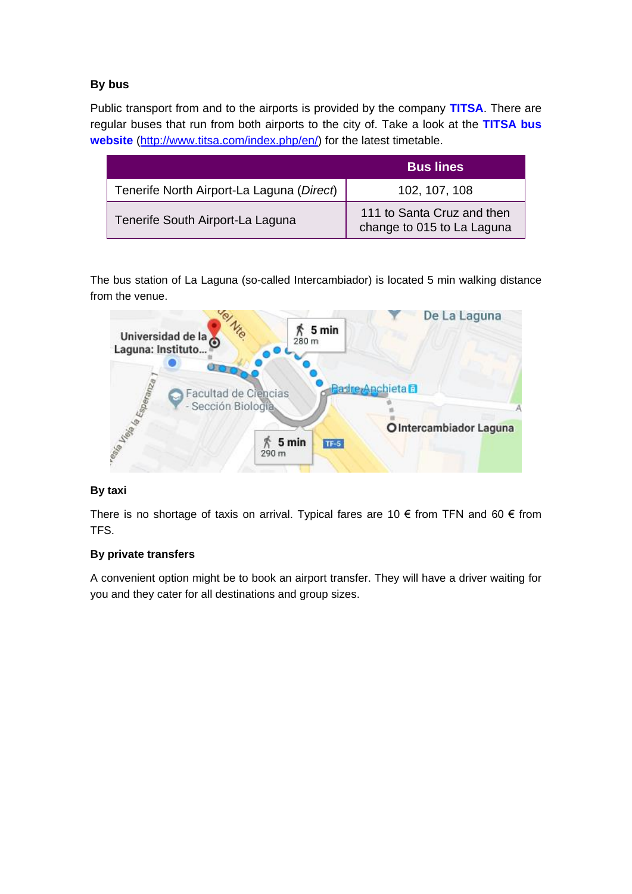#### **By bus**

Public transport from and to the airports is provided by the company **[TITSA](http://www.titsa.com/index.php?idioma=1)**. There are regular buses that run from both airports to the city of. Take a look at the **[TITSA bus](http://www.titsa.com/index.php/en/)  [website](http://www.titsa.com/index.php/en/)** [\(http://www.titsa.com/index.php/en/\)](http://www.titsa.com/index.php/en/) for the latest timetable.

|                                           | <b>Bus lines</b>                                         |
|-------------------------------------------|----------------------------------------------------------|
| Tenerife North Airport-La Laguna (Direct) | 102, 107, 108                                            |
| Tenerife South Airport-La Laguna          | 111 to Santa Cruz and then<br>change to 015 to La Laguna |

The bus station of La Laguna (so-called Intercambiador) is located 5 min walking distance from the venue.



#### **By taxi**

There is no shortage of taxis on arrival. Typical fares are 10  $\epsilon$  from TFN and 60  $\epsilon$  from TFS.

#### **By private transfers**

A convenient option might be to book an airport transfer. They will have a driver waiting for you and they cater for all destinations and group sizes.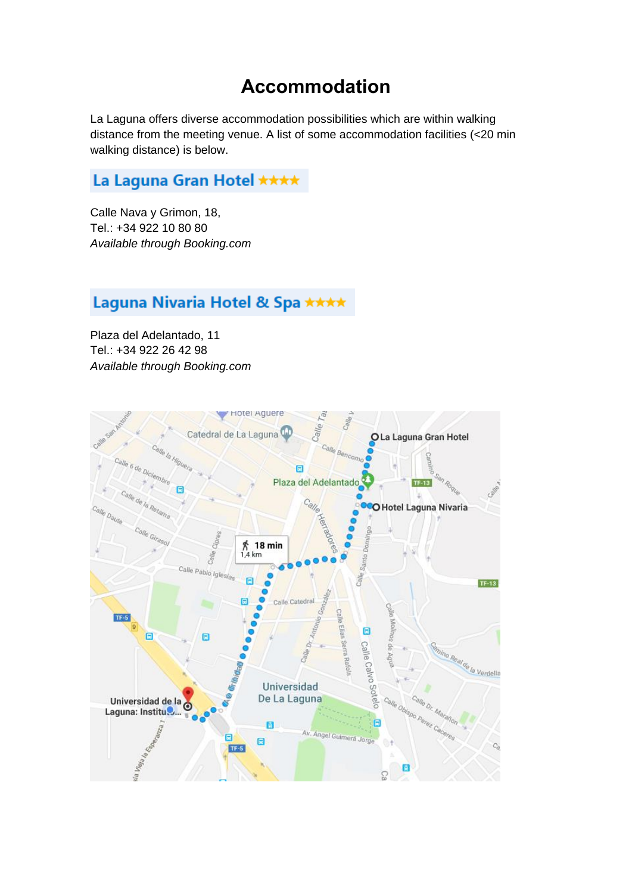### **Accommodation**

La Laguna offers diverse accommodation possibilities which are within walking distance from the meeting venue. A list of some accommodation facilities (<20 min walking distance) is below.

### La Laguna Gran Hotel \*\*\*\*

Calle Nava y Grimon, 18, Tel.: +34 922 10 80 80 *Available through Booking.com*

### Laguna Nivaria Hotel & Spa \*\*\*\*

Plaza del Adelantado, 11 Tel.: +34 922 26 42 98 *Available through Booking.com*

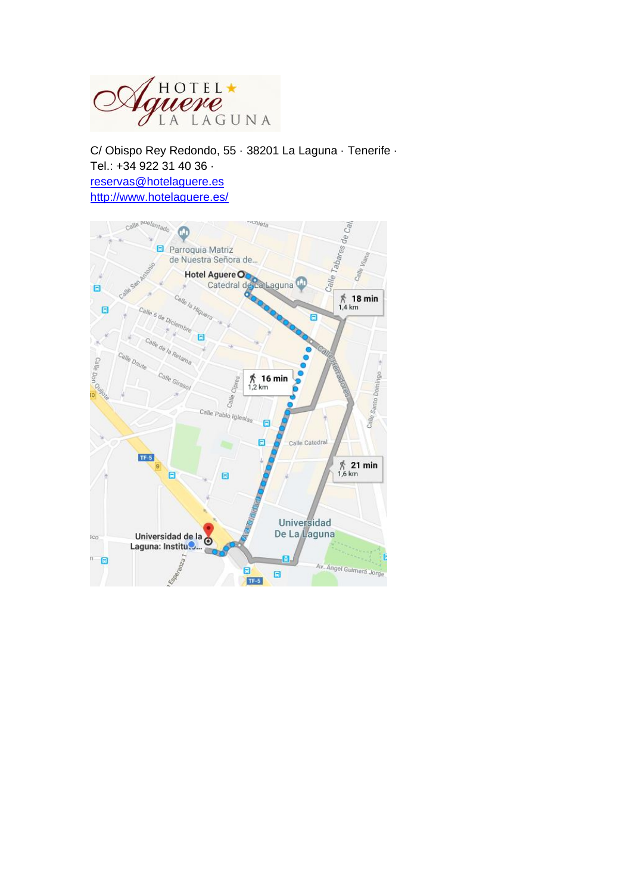

C/ Obispo Rey Redondo, 55 · 38201 La Laguna · Tenerife · Tel.: +34 922 31 40 36 · [reservas@hotelaguere.es](mailto:reservas@hotelaguere.es) <http://www.hotelaguere.es/>